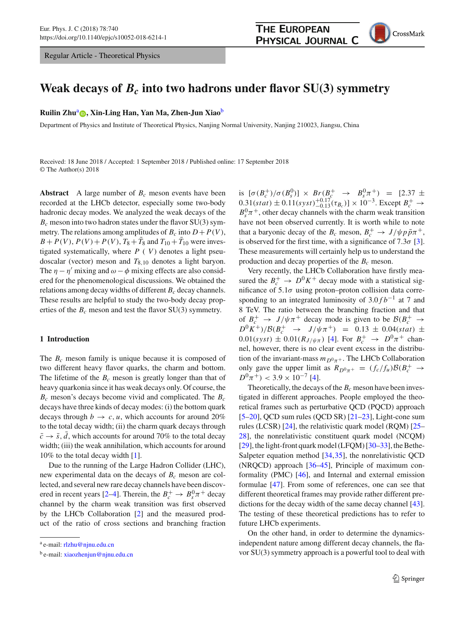Regular Article - Theoretical Physics



# **Weak decays of**  $B_c$  **into two hadrons under flavor SU(3) symmetry**

**Ruilin Zhu<sup>a</sup> •••••••• Xin-Ling Han[,](http://orcid.org/0000-0001-6733-859X) Yan Ma, Zhen-Jun Xiao** 

Department of Physics and Institute of Theoretical Physics, Nanjing Normal University, Nanjing 210023, Jiangsu, China

Received: 18 June 2018 / Accepted: 1 September 2018 / Published online: 17 September 2018 © The Author(s) 2018

**Abstract** A large number of  $B_c$  meson events have been recorded at the LHCb detector, especially some two-body hadronic decay modes. We analyzed the weak decays of the *Bc* meson into two hadron states under the flavor SU(3) symmetry. The relations among amplitudes of  $B_c$  into  $D + P(V)$ ,  $B + P(V)$ ,  $P(V) + P(V)$ ,  $T_8 + T_8$  and  $T_{10} + T_{10}$  were investigated systematically, where  $P(V)$  denotes a light pseudoscalar (vector) meson and *T*8,<sup>10</sup> denotes a light baryon. The  $\eta - \eta'$  mixing and  $\omega - \phi$  mixing effects are also considered for the phenomenological discussions. We obtained the relations among decay widths of different  $B_c$  decay channels. These results are helpful to study the two-body decay properties of the  $B_c$  meson and test the flavor SU(3) symmetry.

#### **1 Introduction**

The  $B_c$  meson family is unique because it is composed of two different heavy flavor quarks, the charm and bottom. The lifetime of the  $B_c$  meson is greatly longer than that of heavy quarkonia since it has weak decays only. Of course, the *Bc* meson's decays become vivid and complicated. The *Bc* decays have three kinds of decay modes: (i) the bottom quark decays through  $b \rightarrow c, u$ , which accounts for around 20% to the total decay width; (ii) the charm quark decays through  $\bar{c} \rightarrow \bar{s}$ ,  $\bar{d}$ , which accounts for around 70% to the total decay width; (iii) the weak annihilation, which accounts for around 10% to the total decay width [\[1](#page-7-0)].

Due to the running of the Large Hadron Collider (LHC), new experimental data on the decays of  $B<sub>c</sub>$  meson are collected, and several new rare decay channels have been discov-ered in recent years [\[2](#page-7-1)[–4](#page-7-2)]. Therein, the  $B_c^+ \rightarrow B_s^0 \pi^+$  decay channel by the charm weak transition was first observed by the LHCb Collaboration [\[2](#page-7-1)] and the measured product of the ratio of cross sections and branching fraction

is  $[\sigma(B_c^+)/\sigma(B_s^0)] \times Br(B_c^+ \rightarrow B_s^0 \pi^+) = [2.37 \pm 1.5 \times 10^{-4}]$  $0.31(stat) ± 0.11(syst) + 0.17(t<sub>Bc</sub>)] × 10<sup>-3</sup>$ . Except *B*<sup>+</sup> →  $0<sup>1</sup>$  $B_s^0 \pi^+$ , other decay channels with the charm weak transition have not been observed currently. It is worth while to note that a baryonic decay of the  $B_c$  meson,  $B_c^+ \rightarrow J/\psi p \bar{p} \pi^+$ , is observed for the first time, with a significance of 7.3 $\sigma$  [\[3](#page-7-3)]. These measurements will certainly help us to understand the production and decay properties of the  $B_c$  meson.

Very recently, the LHCb Collaboration have firstly measured the  $B_c^+ \rightarrow D^0 K^+$  decay mode with a statistical significance of  $5.1\sigma$  using proton–proton collision data corresponding to an integrated luminosity of  $3.0 f b^{-1}$  at 7 and 8 TeV. The ratio between the branching fraction and that of  $B_c^+ \rightarrow J/\psi \pi^+$  decay mode is given to be  $B(B_c^+ \rightarrow$  $D^0 K^+$ )/*B*( $B_c^+$   $\rightarrow$  *J*/ $\psi \pi^+$ ) = 0.13 ± 0.04(*stat*) ±  $0.01(syst) \pm 0.01(R_{J/\psi\pi})$  [\[4](#page-7-2)]. For  $B_c^+ \to D^0\pi^+$  channel, however, there is no clear event excess in the distribution of the invariant-mass  $m_{D^0\pi^+}$ . The LHCb Collaboration only gave the upper limit as  $R_{D^0\pi^+} = (f_c/f_u)\mathcal{B}(B_c^+ \rightarrow$  $D^{0}\pi^{+}$ ) < 3.9 × 10<sup>-7</sup> [\[4](#page-7-2)].

Theoretically, the decays of the  $B_c$  meson have been investigated in different approaches. People employed the theoretical frames such as perturbative QCD (PQCD) approach  $[5–20]$  $[5–20]$  $[5–20]$ , QCD sum rules (QCD SR)  $[21–23]$  $[21–23]$ , Light-cone sum rules (LCSR) [\[24](#page-8-3)], the relativistic quark model (RQM) [\[25](#page-8-4)– [28](#page-8-5)], the nonrelativistic constituent quark model (NCQM) [\[29](#page-8-6)], the light-front quark model (LFQM)  $[30-33]$  $[30-33]$ , the Bethe-Salpeter equation method [\[34](#page-8-9)[,35](#page-8-10)], the nonrelativistic QCD (NRQCD) approach [\[36](#page-8-11)[–45](#page-8-12)], Principle of maximum conformality (PMC) [\[46\]](#page-8-13), and Internal and external emission formulae [\[47](#page-8-14)]. From some of references, one can see that different theoretical frames may provide rather different predictions for the decay width of the same decay channel [\[43](#page-8-15)]. The testing of these theoretical predictions has to refer to future LHCb experiments.

On the other hand, in order to determine the dynamicsindependent nature among different decay channels, the flavor SU(3) symmetry approach is a powerful tool to deal with

<sup>a</sup> e-mail: [rlzhu@njnu.edu.cn](mailto:rlzhu@njnu.edu.cn)

<sup>b</sup> e-mail: [xiaozhenjun@njnu.edu.cn](mailto:xiaozhenjun@njnu.edu.cn)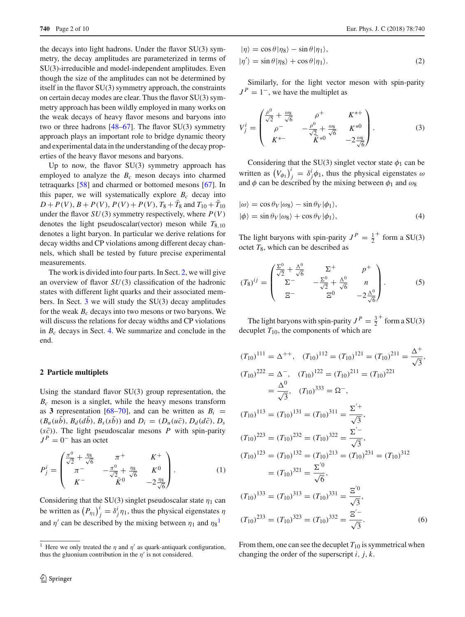the decays into light hadrons. Under the flavor SU(3) symmetry, the decay amplitudes are parameterized in terms of SU(3)-irreducible and model-independent amplitudes. Even though the size of the amplitudes can not be determined by itself in the flavor SU(3) symmetry approach, the constraints on certain decay modes are clear. Thus the flavor SU(3) symmetry approach has been wildly employed in many works on the weak decays of heavy flavor mesons and baryons into two or three hadrons  $[48–67]$  $[48–67]$  $[48–67]$ . The flavor SU(3) symmetry approach plays an important role to bridge dynamic theory and experimental data in the understanding of the decay properties of the heavy flavor mesons and baryons.

Up to now, the flavor  $SU(3)$  symmetry approach has employed to analyze the  $B_c$  meson decays into charmed tetraquarks [\[58\]](#page-8-18) and charmed or bottomed mesons [\[67\]](#page-8-17). In this paper, we will systematically explore  $B_c$  decay into  $D + P(V)$ ,  $B + P(V)$ ,  $P(V) + P(V)$ ,  $T_8 + T_8$  and  $T_{10} + T_{10}$ under the flavor  $SU(3)$  symmetry respectively, where  $P(V)$ denotes the light pseudoscalar(vector) meson while  $T_{8,10}$ denotes a light baryon. In particular we derive relations for decay widths and CP violations among different decay channels, which shall be tested by future precise experimental measurements.

The work is divided into four parts. In Sect. [2,](#page-1-0) we will give an overview of flavor *SU*(3) classification of the hadronic states with different light quarks and their associated members. In Sect. [3](#page-2-0) we will study the SU(3) decay amplitudes for the weak  $B_c$  decays into two mesons or two baryons. We will discuss the relations for decay widths and CP violations in  $B_c$  decays in Sect. [4.](#page-4-0) We summarize and conclude in the end.

#### <span id="page-1-0"></span>**2 Particle multiplets**

Using the standard flavor SU(3) group representation, the  $B_c$  meson is a singlet, while the heavy mesons transform as **3** representation [\[68](#page-8-19)[–70](#page-9-0)], and can be written as  $B_i$  =  $(B_u(u\bar{b}), B_d(d\bar{b}), B_s(s\bar{b}))$  and  $D_i = (D_u(u\bar{c}), D_d(d\bar{c}), D_s)$  $(s\bar{c})$ ). The light pseudoscalar mesons *P* with spin-parity  $J<sup>P</sup> = 0<sup>-</sup>$  has an octet

$$
P_j^i = \begin{pmatrix} \frac{\pi^0}{\sqrt{2}} + \frac{\eta_8}{\sqrt{6}} & \pi^+ & K^+\\ \pi^- & -\frac{\pi^0}{\sqrt{2}} + \frac{\eta_8}{\sqrt{6}} & K^0\\ K^- & \bar{K}^0 & -2\frac{\eta_8}{\sqrt{6}} \end{pmatrix} .
$$
 (1)

Considering that the SU(3) singlet pseudoscalar state  $\eta_1$  can be written as  $\left(P_{\eta_1}\right)^i_j = \delta^i_j \eta_1$ , thus the physical eigenstates  $\eta$ and  $\eta'$  can be described by the mixing between  $\eta_1$  $\eta_1$  and  $\eta_8$ <sup>1</sup>

$$
|\eta\rangle = \cos\theta|\eta_8\rangle - \sin\theta|\eta_1\rangle, |\eta'\rangle = \sin\theta|\eta_8\rangle + \cos\theta|\eta_1\rangle.
$$
 (2)

Similarly, for the light vector meson with spin-parity  $J<sup>P</sup> = 1<sup>-</sup>$ , we have the multiplet as

$$
V_j^i = \begin{pmatrix} \frac{\rho^0}{\sqrt{2}} + \frac{\omega_8}{\sqrt{6}} & \rho^+ & K^{*+} \\ \rho^- & -\frac{\rho^0}{\sqrt{2}} + \frac{\omega_8}{\sqrt{6}} & K^{*0} \\ K^{*-} & \bar{K}^{*0} & -2\frac{\omega_8}{\sqrt{6}} \end{pmatrix}.
$$
 (3)

Considering that the SU(3) singlet vector state  $\phi_1$  can be written as  $(V_{\phi_1})^i_j = \delta^i_j \phi_1$ , thus the physical eigenstates  $\omega$ and  $\phi$  can be described by the mixing between  $\phi_1$  and  $\omega_8$ 

$$
|\omega\rangle = \cos\theta_V|\omega_8\rangle - \sin\theta_V|\phi_1\rangle, |\phi\rangle = \sin\theta_V|\omega_8\rangle + \cos\theta_V|\phi_1\rangle,
$$
 (4)

The light baryons with spin-parity  $J^P = \frac{1}{2}^+$  form a SU(3) octet  $T_8$ , which can be described as

$$
(T_8)^{ij} = \begin{pmatrix} \frac{\Sigma^0}{\sqrt{2}} + \frac{\Lambda^0}{\sqrt{6}} & \Sigma^+ & p^+ \\ \Sigma^- & -\frac{\Sigma^0}{\sqrt{2}} + \frac{\Lambda^0}{\sqrt{6}} & n \\ \Xi^- & \Xi^0 & -2\frac{\Lambda^0}{\sqrt{6}} \end{pmatrix}.
$$
 (5)

The light baryons with spin-parity  $J^P = \frac{3}{2}^+$  form a SU(3) decuplet  $T_{10}$ , the components of which are

$$
(T_{10})^{111} = \Delta^{++}, (T_{10})^{112} = (T_{10})^{121} = (T_{10})^{211} = \frac{\Delta^{+}}{\sqrt{3}},
$$
  
\n
$$
(T_{10})^{222} = \Delta^{-}, (T_{10})^{122} = (T_{10})^{211} = (T_{10})^{221} = \frac{\Delta^{0}}{\sqrt{3}}, (T_{10})^{333} = \Omega^{-},
$$
  
\n
$$
(T_{10})^{113} = (T_{10})^{131} = (T_{10})^{311} = \frac{\Sigma'^{+}}{\sqrt{3}},
$$
  
\n
$$
(T_{10})^{223} = (T_{10})^{232} = (T_{10})^{322} = \frac{\Sigma'^{-}}{\sqrt{3}},
$$
  
\n
$$
(T_{10})^{123} = (T_{10})^{132} = (T_{10})^{213} = (T_{10})^{231} = (T_{10})^{312} = (T_{10})^{312} = \frac{\Sigma'^{0}}{\sqrt{6}},
$$
  
\n
$$
(T_{10})^{133} = (T_{10})^{313} = (T_{10})^{331} = \frac{\Xi'^{0}}{\sqrt{3}},
$$
  
\n
$$
(T_{10})^{233} = (T_{10})^{323} = (T_{10})^{332} = \frac{\Xi'^{-}}{\sqrt{3}}.
$$
  
\n(6)

From them, one can see the decuplet  $T_{10}$  is symmetrical when changing the order of the superscript *i*, *j*, *k*.

<span id="page-1-1"></span><sup>&</sup>lt;sup>1</sup> Here we only treated the  $\eta$  and  $\eta'$  as quark-antiquark configuration, thus the gluonium contribution in the  $\eta'$  is not considered.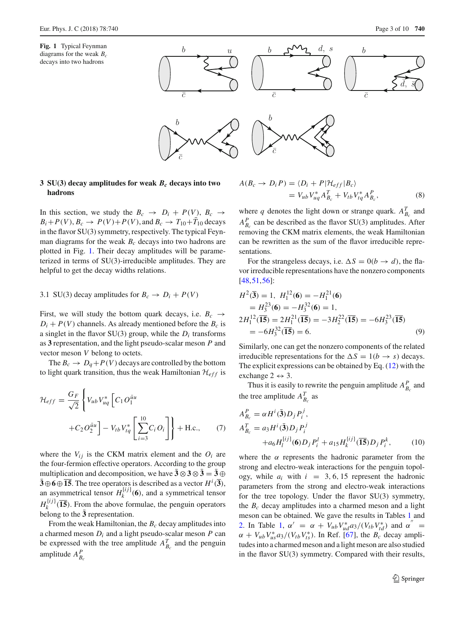<span id="page-2-1"></span>



# <span id="page-2-0"></span>**3 SU(3) decay amplitudes for weak** *Bc* **decays into two hadrons**

In this section, we study the  $B_c \rightarrow D_i + P(V)$ ,  $B_c \rightarrow$  $B_i + P(V), B_c \rightarrow P(V) + P(V)$ , and  $B_c \rightarrow T_{10} + T_{10}$  decays in the flavor SU(3) symmetry, respectively. The typical Feynman diagrams for the weak  $B<sub>c</sub>$  decays into two hadrons are plotted in Fig. [1.](#page-2-1) Their decay amplitudes will be parameterized in terms of SU(3)-irreducible amplitudes. They are helpful to get the decay widths relations.

#### 3.1 SU(3) decay amplitudes for  $B_c \rightarrow D_i + P(V)$

First, we will study the bottom quark decays, i.e.  $B_c \rightarrow$  $D_i + P(V)$  channels. As already mentioned before the  $B_c$  is a singlet in the flavor  $SU(3)$  group, while the  $D<sub>i</sub>$  transforms as **3** representation, and the light pseudo-scalar meson *P* and vector meson *V* belong to octets.

The  $B_c \to D_q + P(V)$  decays are controlled by the bottom to light quark transition, thus the weak Hamiltonian  $\mathcal{H}_{eff}$  is

$$
\mathcal{H}_{eff} = \frac{G_F}{\sqrt{2}} \left\{ V_{ub} V_{uq}^* \left[ C_1 O_1^{\bar{u}u} + C_2 O_2^{\bar{u}u} \right] - V_{tb} V_{tq}^* \left[ \sum_{i=3}^{10} C_i O_i \right] \right\} + \text{H.c.,}
$$
 (7)

where the  $V_{ij}$  is the CKM matrix element and the  $O_i$  are the four-fermion effective operators. According to the group multiplication and decomposition, we have  $\bar{3} \otimes 3 \otimes \bar{3} = \bar{3} \oplus \bar{3}$  $\overline{\mathbf{3}} \oplus \mathbf{6} \oplus \overline{\mathbf{15}}$ . The tree operators is described as a vector  $H^i(\overline{\mathbf{3}})$ , an asymmetrical tensor  $H_k^{[ij]}(6)$ , and a symmetrical tensor  $H_k^{(ij)}$  (15). From the above formulae, the penguin operators belong to the  $\bar{3}$  representation.

From the weak Hamiltonian, the  $B_c$  decay amplitudes into a charmed meson *Di* and a light pseudo-scalar meson *P* can be expressed with the tree amplitude  $A_{B_c}^T$  and the penguin amplitude  $A_{B_c}^P$ 

$$
A(B_c \to D_i P) = \langle D_i + P | \mathcal{H}_{eff} | B_c \rangle
$$
  
=  $V_{ub} V_{uq}^* A_{B_c}^T + V_{tb} V_{tq}^* A_{B_c}^P,$  (8)

where *q* denotes the light down or strange quark.  $A_{B_c}^T$  and  $A_{B_c}^P$  can be described as the flavor SU(3) amplitudes. After removing the CKM matrix elements, the weak Hamiltonian can be rewritten as the sum of the flavor irreducible representations.

For the strangeless decays, i.e.  $\Delta S = 0(b \rightarrow d)$ , the flavor irreducible representations have the nonzero components [\[48](#page-8-16),[51,](#page-8-20)[56\]](#page-8-21):

$$
H^2(\overline{3}) = 1, H_1^{12}(6) = -H_1^{21}(6)
$$
  
=  $H_3^{23}(6) = -H_3^{32}(6) = 1$ ,  
 $2H_1^{12}(\overline{15}) = 2H_1^{21}(\overline{15}) = -3H_2^{22}(\overline{15}) = -6H_3^{23}(\overline{15})$   
=  $-6H_3^{32}(\overline{15}) = 6$ . (9)

Similarly, one can get the nonzero components of the related irreducible representations for the  $\Delta S = 1(b \rightarrow s)$  decays. The explicit expressions can be obtained by Eq. [\(12\)](#page-3-0) with the exchange  $2 \leftrightarrow 3$ .

Thus it is easily to rewrite the penguin amplitude  $A_{B_c}^P$  and the tree amplitude  $A_{B_c}^T$  as

$$
A_{B_c}^P = \alpha H^i(\bar{\mathbf{3}}) D_j P_i^j,
$$
  
\n
$$
A_{B_c}^T = a_3 H^i(\bar{\mathbf{3}}) D_j P_i^j
$$
\n
$$
+ a_6 H_l^{[ij]}(\mathbf{6}) D_j P_i^l + a_{15} H_k^{[ij]}(\bar{\mathbf{15}}) D_j P_i^k,
$$
\n(10)

where the  $\alpha$  represents the hadronic parameter from the strong and electro-weak interactions for the penguin topology, while  $a_i$  with  $i = 3, 6, 15$  represent the hadronic parameters from the strong and electro-weak interactions for the tree topology. Under the flavor SU(3) symmetry, the  $B_c$  decay amplitudes into a charmed meson and a light meson can be obtained. We gave the results in Tables [1](#page-3-1) and [2.](#page-3-2) In Table [1,](#page-3-1)  $\alpha' = \alpha + V_{ub}V_{ud}^* a_3/(V_{tb}V_{td}^*)$  and  $\alpha'' =$  $\alpha + V_{ub}V_{us}^*a_3/(V_{tb}V_{ts}^*)$ . In Ref. [\[67\]](#page-8-17), the *B<sub>c</sub>* decay amplitudes into a charmed meson and a light meson are also studied in the flavor SU(3) symmetry. Compared with their results,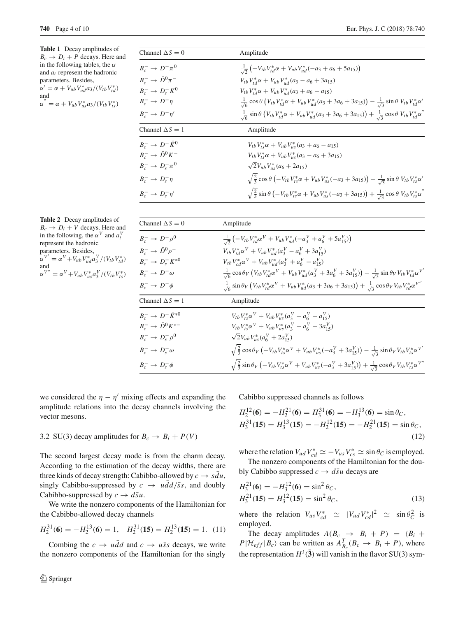<span id="page-3-1"></span>**Table 1** Decay amplitudes of  $B_c \rightarrow D_i + P$  decays. Here and in the following tables, the  $\alpha$ and *ai* represent the hadronic parameters. Besides,  $\alpha' = \alpha + V_{ub}V_{ud}^* a_3/(V_{tb}V_{td}^*)$ 

and  
\n
$$
\alpha^{''} = \alpha + V_{ub}V_{us}^*a_3/(V_{tb}V_{ts}^*)
$$

| Channel $\Delta S = 0$                        | Amplitude                                                                                                                                                         |
|-----------------------------------------------|-------------------------------------------------------------------------------------------------------------------------------------------------------------------|
| $B^{-} \to D^{-} \pi^{0}$                     | $\frac{1}{\sqrt{2}}\left(-V_{tb}V_{td}^*\alpha + V_{ub}V_{ud}^*(-a_3 + a_6 + 5a_{15})\right)$                                                                     |
| $B_c^- \rightarrow \bar{D}^0 \pi^-$           | $V_{tb}V_{td}^* \alpha + V_{ub}V_{ud}^* (a_3 - a_6 + 3a_{15})$                                                                                                    |
| $B_{c}^{-} \to D_{s}^{-} K^{0}$               | $V_{tb}V_{td}^* \alpha + V_{ub}V_{ud}^* (a_3 + a_6 - a_{15})$                                                                                                     |
| $B_c^- \rightarrow D^- \eta$                  | $\frac{1}{\sqrt{6}}\cos\theta\left(V_{tb}V_{td}^*\alpha + V_{ub}V_{ud}^*(a_3 + 3a_6 + 3a_{15})\right) - \frac{1}{\sqrt{3}}\sin\theta V_{tb}V_{td}^*\alpha'$       |
| $B_{\circ}^- \to D^{-}\eta'$                  | $\frac{1}{\sqrt{6}}\sin\theta\left(V_{tb}V_{td}^*\alpha + V_{ub}V_{ud}^*(a_3 + 3a_6 + 3a_{15})\right) + \frac{1}{\sqrt{3}}\cos\theta V_{tb}V_{td}^*\alpha''$      |
| Channel $\Delta S = 1$                        | Amplitude                                                                                                                                                         |
| $B_{\scriptscriptstyle\sim}^-\to D^-\bar K^0$ | $V_{tb}V_{tc}^*\alpha + V_{ub}V_{us}^*(a_3 + a_6 - a_{15})$                                                                                                       |
| $B^-_c \rightarrow \bar{D}^0 K^-$             | $V_{tb}V_{ts}^*\alpha + V_{ub}V_{us}^*(a_3 - a_6 + 3a_{15})$                                                                                                      |
| $B_{c}^{-} \to D_{s}^{-} \pi^{0}$             | $\sqrt{2}V_{ub}V_{us}^*(a_6+2a_{15})$                                                                                                                             |
| $B_{c}^{-} \rightarrow D_{s}^{-} \eta$        | $\sqrt{\frac{2}{3}} \cos \theta \left(-V_{tb} V_{ts}^* \alpha + V_{ub} V_{us}^* (-a_3 + 3a_{15})\right) - \frac{1}{\sqrt{3}} \sin \theta V_{tb} V_{ts}^* \alpha'$ |
| $B_{c}^{-} \rightarrow D_{s}^{-} \eta'$       | $\sqrt{\frac{2}{3}}\sin\theta\left(-V_{tb}V_{ts}^*\alpha + V_{ub}V_{us}^*(-a_3+3a_{15})\right) + \frac{1}{\sqrt{3}}\cos\theta V_{tb}V_{ts}^*\alpha''$             |
|                                               |                                                                                                                                                                   |

<span id="page-3-2"></span>

| <b>Table 2</b> Decay amplitudes of                                            |
|-------------------------------------------------------------------------------|
| $B_c \rightarrow D_i + V$ decays. Here and                                    |
| in the following, the $\alpha^V$ and $a_i^V$                                  |
| represent the hadronic                                                        |
| parameters. Besides,                                                          |
| $\alpha^{V'} = \alpha^{V} + V_{ub} V_{ud}^{*} a_3^{V} / (V_{tb} V_{td}^{*})$  |
| and                                                                           |
| $\alpha^{V''} = \alpha^{V} + V_{ub} V_{us}^{*} a_3^{V} / (V_{tb} V_{ts}^{*})$ |
|                                                                               |

| Channel $\Delta S = 0$                   | Amplitude                                                                                                                                                                                  |
|------------------------------------------|--------------------------------------------------------------------------------------------------------------------------------------------------------------------------------------------|
| $B_c^ \rightarrow$ $D^ \rho^0$           | $\frac{1}{\sqrt{2}}\left(-V_{tb}V_{td}^*\alpha^V + V_{ub}V_{ud}^*(-a_3^V + a_6^V + 5a_{15}^V)\right)$                                                                                      |
| $B_c^ \rightarrow \bar{D}^0 \rho^-$      | $V_{tb}V_{td}^*\alpha^V + V_{ub}V_{ud}^*(a_3^V - a_6^V + 3a_{15}^V)$                                                                                                                       |
| $B_{c}^{-} \to D_{s}^{-} K^{*0}$         | $V_{cb}V_{cd}^*\alpha^V + V_{ub}V_{ud}^*(a_3^V + a_6^V - a_{15}^V)$                                                                                                                        |
| $B_{c}^{-} \rightarrow D^{-} \omega$     | $\frac{1}{\sqrt{6}} \cos \theta_V \left( V_{tb} V_{td}^* \alpha^V + V_{ub} V_{ud}^* (a_3^V + 3 a_6^V + 3 a_{15}^V) \right) - \frac{1}{\sqrt{3}} \sin \theta_V V_{tb} V_{td}^* \alpha^{V'}$ |
| $B_{\circ}^- \to D^- \phi$               | $\frac{1}{\sqrt{6}}\sin\theta_V\left(V_{tb}V_{td}^*\alpha^V + V_{ub}V_{ud}^*(a_3+3a_6+3a_{15})\right) + \frac{1}{\sqrt{3}}\cos\theta_VV_{tb}V_{td}^*\alpha^{V''}$                          |
| Channel $\Delta S = 1$                   | Amplitude                                                                                                                                                                                  |
| $B_{c}^{-} \to D^{-} \bar{K}^{*0}$       | $V_{tb}V_{ts}^*\alpha^V + V_{ub}V_{us}^*(a_3^V + a_6^V - a_{15}^V)$                                                                                                                        |
| $B_c^-\rightarrow\bar{D}^0 K^{*-}$       | $V_{tb}V_{ts}^*\alpha^V + V_{ub}V_{us}^*(a_3^V - a_6^V + 3a_{15}^V)$                                                                                                                       |
| $B_{c}^{-} \to D_{s}^{-} \rho^{0}$       | $\sqrt{2}V_{ub}V_{us}^*(a_6^V + 2a_{15}^V)$                                                                                                                                                |
| $B_{c}^{-} \rightarrow D_{s}^{-} \omega$ | $\sqrt{\frac{2}{3}} \cos \theta_V (-V_{tb} V_{ts}^* \alpha^V + V_{ub} V_{us}^* (-a_3^V + 3a_{15}^V)) - \frac{1}{\sqrt{3}} \sin \theta_V V_{tb} V_{ts}^* \alpha^V$                          |
| $B_{c}^{-} \rightarrow D_{s}^{-} \phi$   | $\sqrt{\frac{2}{3}}\sin\theta_V(-V_{tb}V_{ts}^*\alpha^V+V_{ub}V_{us}^*(-a_3^V+3a_{15}^V)+\frac{1}{\sqrt{3}}\cos\theta_VV_{tb}V_{ts}^*\alpha^{V''}$                                         |

we considered the  $\eta - \eta'$  mixing effects and expanding the amplitude relations into the decay channels involving the vector mesons.

#### 3.2 SU(3) decay amplitudes for  $B_c \rightarrow B_i + P(V)$

The second largest decay mode is from the charm decay. According to the estimation of the decay widths, there are three kinds of decay strength: Cabibbo-allowed by  $c \rightarrow s\bar{d}u$ , singly Cabibbo-suppressed by  $c \rightarrow u \frac{dd}{s} s$ , and doubly Cabibbo-suppressed by  $c \rightarrow d\bar{s}u$ .

We write the nonzero components of the Hamiltonian for the Cabibbo-allowed decay channels

$$
H_2^{31}(\mathbf{6}) = -H_2^{13}(\mathbf{6}) = 1, \quad H_2^{31}(\mathbf{15}) = H_2^{13}(\mathbf{15}) = 1. \tag{11}
$$

Combing the  $c \rightarrow u \bar{d}d$  and  $c \rightarrow u \bar{s}s$  decays, we write the nonzero components of the Hamiltonian for the singly Cabibbo suppressed channels as follows

<span id="page-3-0"></span>
$$
H_2^{12}(\mathbf{6}) = -H_2^{21}(\mathbf{6}) = H_3^{31}(\mathbf{6}) = -H_3^{13}(\mathbf{6}) = \sin \theta_C,
$$
  
\n
$$
H_3^{31}(\mathbf{15}) = H_3^{13}(\mathbf{15}) = -H_2^{12}(\mathbf{15}) = -H_2^{21}(\mathbf{15}) = \sin \theta_C,
$$
  
\n(12)

where the relation  $V_{ud}V_{cd}^* \simeq -V_{us}V_{cs}^* \simeq \sin \theta_C$  is employed.

The nonzero components of the Hamiltonian for the doubly Cabibbo suppressed  $c \rightarrow d\bar{s}u$  decays are

$$
H_3^{21}(\mathbf{6}) = -H_3^{12}(\mathbf{6}) = \sin^2 \theta_C,
$$
  
\n
$$
H_3^{21}(\mathbf{15}) = H_3^{12}(\mathbf{15}) = \sin^2 \theta_C,
$$
\n(13)

where the relation  $V_{us}V_{cd}^* \simeq |V_{ud}V_{cd}^*|^2 \simeq \sin\theta_C^2$  is employed.

The decay amplitudes  $A(B_c \rightarrow B_i + P) = \langle B_i + P \rangle$  $P|\mathcal{H}_{eff}|B_c\rangle$  can be written as  $A_{B_c}^T(B_c \rightarrow B_i + P)$ , where the representation  $H^i$  (3) will vanish in the flavor SU(3) sym-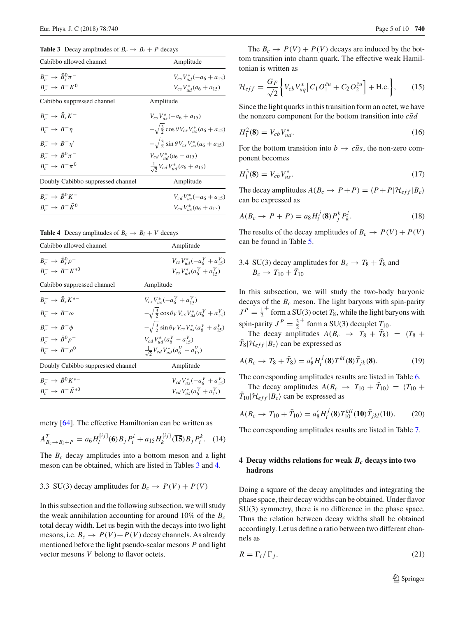<span id="page-4-1"></span>**Table 3** Decay amplitudes of  $B_c \rightarrow B_i + P$  decays

| Cabibbo allowed channel                        | Amplitude                                                    |
|------------------------------------------------|--------------------------------------------------------------|
| $B_c^- \rightarrow \bar{B}_s^0 \pi^-$          | $V_{cs}V_{ud}^*(-a_6+a_{15})$                                |
| $B_{c}^{-} \rightarrow B^{-} K^{0}$            | $V_{cs}V_{ud}^*(a_6 + a_{15})$                               |
| Cabibbo suppressed channel                     | Amplitude                                                    |
| $B_{c}^{-} \rightarrow \bar{B}_{s} K^{-}$      | $V_{cs}V_{us}^*(-a_6+a_{15})$                                |
| $B_{c}^{-} \rightarrow B^{-}n$                 | $-\sqrt{\frac{3}{2}}\cos\theta V_{cs}V_{us}^*(a_6+a_{15})$   |
| $B_{\scriptscriptstyle\sim}^- \to B^- \eta'$   | $-\sqrt{\frac{3}{2}}\sin\theta V_{cs}V_{us}^*(a_6 + a_{15})$ |
| $B_c^- \rightarrow \bar{B}^0 \pi^-$            | $V_{cd}V_{ud}^*(a_6-a_{15})$                                 |
| $B_{\circ}^- \rightarrow B^- \pi^0$            | $\frac{1}{\sqrt{2}}V_{cd}V_{ud}^*(a_6 + a_{15})$             |
| Doubly Cabibbo suppressed channel              | Amplitude                                                    |
| $B_c^- \rightarrow \bar{B}^0 K^-$              | $V_{cd}V_{us}^*(-a_6+a_{15})$                                |
| $B_{c}^{-} \rightarrow B^{-} \overline{K}^{0}$ | $V_{cd}V_{us}^*(a_6 + a_{15})$                               |

**Table 4** Decay amplitudes of  $B_c \rightarrow B_i + V$  decays

<span id="page-4-2"></span>

| Cabibbo allowed channel                                                        | Amplitude                                                                 |
|--------------------------------------------------------------------------------|---------------------------------------------------------------------------|
| $B^-_\circ \rightarrow \bar{B}^0_\circ \rho^-$<br>$B_{c}^{-} \to B^{-} K^{*0}$ | $V_{cs}V_{ud}^*(-a_6^V + a_{15}^V)$<br>$V_{cs}V_{ud}^*(a_6^V + a_{15}^V)$ |
| Cabibbo suppressed channel                                                     | Amplitude                                                                 |
| $B_c^- \rightarrow \bar{B}_s K^{*-}$                                           | $V_{cs}V_{us}^*(-a_6^V + a_{15}^V)$                                       |
| $B_{\circ}^{-} \rightarrow B^{-} \omega$                                       | $-\sqrt{\frac{3}{2}}\cos\theta_V V_{cs} V_{us}^* (a_6^V + a_{15}^V)$      |
| $B^ \rightarrow$ $B^ \phi$                                                     | $-\sqrt{\frac{3}{2}}\sin\theta_V V_{cs}V_{us}^*(a_6^V + a_{15}^V)$        |
| $B^-_\circ \rightarrow \bar{B}^0 \rho^-$                                       | $V_{cd}V_{ud}^*(a_6^V - a_{15}^V)$                                        |
| $B_{c}^{-} \rightarrow B^{-} \rho^{0}$                                         | $\frac{1}{\sqrt{2}}V_{cd}V_{ud}^*(a_6^V + a_{15}^V)$                      |
| Doubly Cabibbo suppressed channel                                              | Amplitude                                                                 |
| $B_{c}^{-} \to \bar{B}^{0} K^{*-}$<br>$B_{c}^{-} \to B^{-} \bar{K}^{*0}$       | $V_{cd}V_{us}^*(-a_6^V + a_{15}^V)$<br>$V_{cd}V_{us}^*(a_6^V + a_{15}^V)$ |

metry [\[64](#page-8-22)]. The effective Hamiltonian can be written as

$$
A_{B_c \to B_i + P}^T = a_6 H_l^{[ij]}(6) B_j P_i^l + a_{15} H_k^{[ij]}(15) B_j P_i^k. \quad (14)
$$

The *B<sub>c</sub>* decay amplitudes into a bottom meson and a light meson can be obtained, which are listed in Tables [3](#page-4-1) and [4.](#page-4-2)

# 3.3 SU(3) decay amplitudes for  $B_c \rightarrow P(V) + P(V)$

In this subsection and the following subsection, we will study the weak annihilation accounting for around  $10\%$  of the  $B_c$ total decay width. Let us begin with the decays into two light mesons, i.e.  $B_c \to P(V) + P(V)$  decay channels. As already mentioned before the light pseudo-scalar mesons *P* and light vector mesons *V* belong to flavor octets.

The  $B_c \to P(V) + P(V)$  decays are induced by the bottom transition into charm quark. The effective weak Hamiltonian is written as

$$
\mathcal{H}_{eff} = \frac{G_F}{\sqrt{2}} \bigg\{ V_{cb} V_{uq}^* \big[ C_1 O_1^{\bar{c}u} + C_2 O_2^{\bar{c}u} \big] + \text{H.c.} \bigg\},\qquad(15)
$$

Since the light quarks in this transition form an octet, we have the nonzero component for the bottom transition into *cud*¯

$$
H_1^2(\mathbf{8}) = V_{cb} V_{ud}^*.
$$
 (16)

For the bottom transition into  $b \rightarrow c\bar{u}s$ , the non-zero component becomes

$$
H_1^3(\mathbf{8}) = V_{cb} V_{us}^*.
$$
 (17)

The decay amplitudes  $A(B_c \to P + P) = \langle P + P | \mathcal{H}_{eff} | B_c \rangle$ can be expressed as

$$
A(B_c \to P + P) = a_8 H_i^j(8) P_j^k P_k^i. \tag{18}
$$

The results of the decay amplitudes of  $B_c \to P(V) + P(V)$ can be found in Table [5.](#page-5-0)

3.4 SU(3) decay amplitudes for  $B_c \rightarrow T_8 + T_8$  and  $B_c \to T_{10} + T_{10}$ 

In this subsection, we will study the two-body baryonic decays of the  $B_c$  meson. The light baryons with spin-parity  $J<sup>P</sup> = \frac{1}{2}^+$  form a SU(3) octet *T*<sub>8</sub>, while the light baryons with spin-parity  $J^P = \frac{3}{2}^+$  form a SU(3) decuplet  $T_{10}$ .

The decay amplitudes  $A(B_c \rightarrow T_8 + T_8) = \langle T_8 + T_8 \rangle$  $T_8|\mathcal{H}_{eff}|B_c\rangle$  can be expressed as

$$
A(B_c \to T_8 + \bar{T}_8) = a_8' H_i^j(\mathbf{8}) T^{ki}(\mathbf{8}) \bar{T}_{jk}(\mathbf{8}).
$$
 (19)

The corresponding amplitudes results are listed in Table [6.](#page-5-1)

The decay amplitudes  $A(B_c \rightarrow T_{10} + T_{10}) = \langle T_{10} + T_{10} + T_{10} \rangle$  $T_{10} | \mathcal{H}_{eff} | B_c \rangle$  can be expressed as

$$
A(B_c \to T_{10} + \bar{T}_{10}) = a'_8 H_i^j(8) T_{10}^{kil}(10) \bar{T}_{jkl}(10). \tag{20}
$$

The corresponding amplitudes results are listed in Table [7.](#page-5-2)

### <span id="page-4-0"></span>**4 Decay widths relations for weak** *Bc* **decays into two hadrons**

Doing a square of the decay amplitudes and integrating the phase space, their decay widths can be obtained. Under flavor SU(3) symmetry, there is no difference in the phase space. Thus the relation between decay widths shall be obtained accordingly. Let us define a ratio between two different channels as

$$
R = \Gamma_i / \Gamma_j. \tag{21}
$$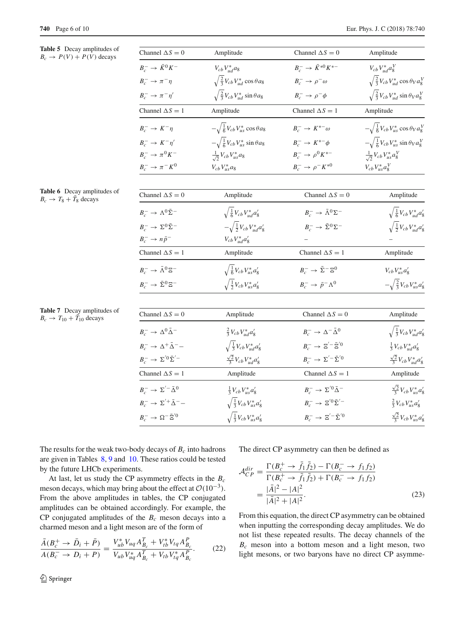**Table 5** Decay amplitudes of  $B_c \rightarrow P(V) + P(V)$  decays

<span id="page-5-0"></span>

| ay amplitudes of<br>$+ P(V)$ decays | Channel $\Delta S = 0$                                   | Amplitude                                                      | Channel $\Delta S = 0$                                            | Amplitude                                               |
|-------------------------------------|----------------------------------------------------------|----------------------------------------------------------------|-------------------------------------------------------------------|---------------------------------------------------------|
|                                     | $B_{c}^{-} \rightarrow \bar{K}^{0} K^{-}$                | $V_{cb}V_{ud}^*$ a <sub>8</sub>                                | $B_{c}^{-} \to \bar{K}^{*0} K^{*-}$                               | $V_{cb}V_{ud}^*a_8^V$                                   |
|                                     | $B_c^- \rightarrow \pi^- \eta$                           | $\sqrt{\frac{2}{3}V_{cb}V_{ud}^*}$ cos $\theta$ a <sub>8</sub> | $B_c^- \rightarrow \rho^- \omega$                                 | $\sqrt{\frac{2}{3}V_{cb}V_{ud}^*}\cos\theta_V a_8^V$    |
|                                     | $B_c^- \to \pi^- \eta'$                                  | $\sqrt{\frac{2}{3}V_{cb}V_{ud}^*}$ sin $\theta$ a <sub>8</sub> | $B_c^- \to \rho^- \phi$                                           | $\sqrt{\frac{2}{3}V_{cb}V_{ud}^* \sin \theta_V a_8^V}$  |
|                                     | Channel $\Delta S = 1$                                   | Amplitude                                                      | Channel $\Delta S = 1$                                            | Amplitude                                               |
|                                     | $B_c^- \rightarrow K^- \eta$                             | $-\sqrt{\frac{1}{6}V_{cb}V_{us}^*}\cos\theta a_8$              | $B_{c}^{-} \rightarrow K^{*-}\omega$                              | $-\sqrt{\frac{1}{6}V_{cb}V_{us}^*}\cos\theta_V a_8^V$   |
|                                     | $B_{c}^{-} \rightarrow K^{-} \eta'$                      | $-\sqrt{\frac{1}{6}V_{cb}V_{us}^*} \sin \theta a_8$            | $B_c^- \rightarrow K^{*-} \phi$                                   | $-\sqrt{\frac{1}{6}}V_{cb}V_{us}^* \sin \theta_V a_8^V$ |
|                                     | $B_c^- \rightarrow \pi^0 K^-$                            | $\frac{1}{\sqrt{2}}V_{cb}V_{us}^*a_8$                          | $B_{c}^{-} \to \rho^{0} K^{*-}$                                   | $\frac{1}{\sqrt{2}}V_{cb}V_{us}^*a_8^V$                 |
|                                     | $B_c^- \rightarrow \pi^- K^0$                            | $V_{cb}V_{us}^*$ ag                                            | $B_{c}^{-} \to \rho^{-} K^{*0}$                                   | $V_{cb}V_{us}^*a_8^V$                                   |
| ay amplitudes of<br>s decays        | Channel $\Delta S = 0$                                   | Amplitude                                                      | Channel $\Delta S = 0$                                            | Amplitude                                               |
|                                     | $B_{c}^{-} \rightarrow \Lambda^{0} \bar{\Sigma}^{-}$     | $\sqrt{\frac{1}{6}V_{cb}V_{ud}^*a_8'}$                         | $B_c^- \rightarrow \bar{\Lambda}^0 \Sigma^-$                      | $\sqrt{\frac{1}{6}V_{cb}V_{ud}^*a_8'}$                  |
|                                     | $B_{\circ}^{-} \rightarrow \Sigma^{0} \bar{\Sigma}^{-}$  | $-\sqrt{\frac{1}{2}V_{cb}V_{ud}^*a_8'}$                        | $B_{c}^{-} \rightarrow \bar{\Sigma}^{0} \Sigma^{-}$               | $\sqrt{\frac{1}{2}V_{cb}V_{ud}^*a_8'}$                  |
|                                     | $B_c^- \to n\bar{p}^-$                                   | $V_{cb}V_{ud}^*a'_8$                                           |                                                                   |                                                         |
|                                     | Channel $\Delta S = 1$                                   | Amplitude                                                      | Channel $\Delta S = 1$                                            | Amplitude                                               |
|                                     | $B_{\circ}^{-} \rightarrow \bar{\Lambda}^{0} \Xi^{-}$    | $\sqrt{\frac{1}{6}V_{cb}V_{us}^*a_8'}$                         | $B_{c}^{-} \rightarrow \bar{\Sigma}^{-} \Xi^{0}$                  | $V_{cb}V_{us}^*a'_8$                                    |
|                                     | $B_c^- \rightarrow \bar{\Sigma}^0 \Sigma^-$              | $\sqrt{\frac{1}{2}V_{cb}V_{us}^*a_8'}$                         | $B_c^- \rightarrow \bar{p}^- \Lambda^0$                           | $-\sqrt{\frac{2}{3}}V_{cb}V_{us}^*a_8'$                 |
| ay amplitudes of                    |                                                          |                                                                |                                                                   |                                                         |
| $\bar{T}_{10}$ decays               | Channel $\Delta S = 0$                                   | Amplitude                                                      | Channel $\Delta S = 0$                                            | Amplitude                                               |
|                                     | $B_{\circ}^{-} \rightarrow \Delta^{0} \bar{\Delta}^{-}$  | $\frac{2}{3}V_{cb}V_{ud}^*a'_8$                                | $B_c^- \rightarrow \Delta^- \bar{\Delta}^0$                       | $\sqrt{\frac{1}{3}V_{cb}V_{ud}^*a_8'}$                  |
|                                     | $B_{c}^{-} \rightarrow \Delta^{+} \bar{\Delta}^{-} -$    | $\sqrt{\frac{1}{3}}V_{cb}V_{ud}^*a_8'$                         | $B_c^- \rightarrow \Xi^{\prime -} \bar{\Xi}^{\prime 0}$           | $\frac{1}{3}V_{cb}V_{ud}^*a_8'$                         |
|                                     | $B_c^- \rightarrow \Sigma^{'0} \bar{\Sigma}^{'-}$        | $\frac{\sqrt{2}}{3}V_{cb}V_{ud}^*a_8'$                         | $B_{c}^{-} \rightarrow \Sigma^{\prime -} \bar{\Sigma}^{\prime 0}$ | $\frac{\sqrt{2}}{3}V_{cb}V_{ud}^*a'_8$                  |
|                                     | Channel $\Delta S = 1$                                   | Amplitude                                                      | Channel $\Delta S = 1$                                            | Amplitude                                               |
|                                     | $B_{\circ}^{-} \rightarrow \Sigma'^{-} \bar{\Delta}^{0}$ | $\frac{1}{3}V_{cb}V_{us}^*a_8'$                                | $B_{c}^{-} \rightarrow \Sigma^{\prime 0} \bar{\Delta}^{-}$        | $\frac{\sqrt{2}}{3}V_{cb}V_{us}^*a_8'$                  |
|                                     | $B_{c}^{-} \rightarrow \Sigma^{'+} \bar{\Delta}^{--}$    | $\sqrt{\frac{1}{3}}V_{cb}V_{us}^*a_8'$                         | $B_{c}^{-} \rightarrow \Xi^{'0} \bar{\Sigma}^{'-}$                | $\frac{2}{3}V_{cb}V_{us}^*a_8'$                         |
|                                     | $B_{c}^{-} \rightarrow \Omega^{-} \overline{\Xi}^{'0}$   | $\sqrt{\frac{1}{3}V_{cb}V_{us}^*a_8'}$                         | $B_c^- \rightarrow \Xi^{\prime -} \bar{\Sigma}^{\prime 0}$        | $\frac{\sqrt{2}}{3}V_{cb}V_{us}^*a_8'$                  |

<span id="page-5-1"></span>**Table 6** Decay amplitudes of  $B_c \rightarrow T_8 + \bar{T}_8$  decays

<span id="page-5-2"></span>**Table 7** Decay amplitudes of  $B_c \rightarrow T_{10} + \overline{T}_{10}$  decays

The results for the weak two-body decays of  $B_c$  into hadrons are given in Tables [8,](#page-6-0) [9](#page-6-1) and [10.](#page-7-5) These ratios could be tested by the future LHCb experiments.

At last, let us study the CP asymmetry effects in the *Bc* meson decays, which may bring about the effect at  $O(10^{-3})$ . From the above amplitudes in tables, the CP conjugated amplitudes can be obtained accordingly. For example, the CP conjugated amplitudes of the  $B_c$  meson decays into a charmed meson and a light meson are of the form of

$$
\frac{\bar{A}(B_c^+ \to \bar{D}_i + \bar{P})}{A(B_c^- \to D_i + P)} = \frac{V_{ub}^* V_{uq} A_{B_c}^T + V_{tb}^* V_{tq} A_{B_c}^P}{V_{ub} V_{uq}^* A_{B_c}^T + V_{tb} V_{tq}^* A_{B_c}^P}.
$$
\n(22)

The direct CP asymmetry can then be defined as

$$
\mathcal{A}_{CP}^{dir} = \frac{\Gamma(B_c^+ \to f_1 f_2) - \Gamma(B_c^- \to f_1 f_2)}{\Gamma(B_c^+ \to \bar{f}_1 \bar{f}_2) + \Gamma(B_c^- \to f_1 f_2)} \n= \frac{|\bar{A}|^2 - |A|^2}{|\bar{A}|^2 + |A|^2}.
$$
\n(23)

From this equation, the direct CP asymmetry can be obtained when inputting the corresponding decay amplitudes. We do not list these repeated results. The decay channels of the *Bc* meson into a bottom meson and a light meson, two light mesons, or two baryons have no direct CP asymme-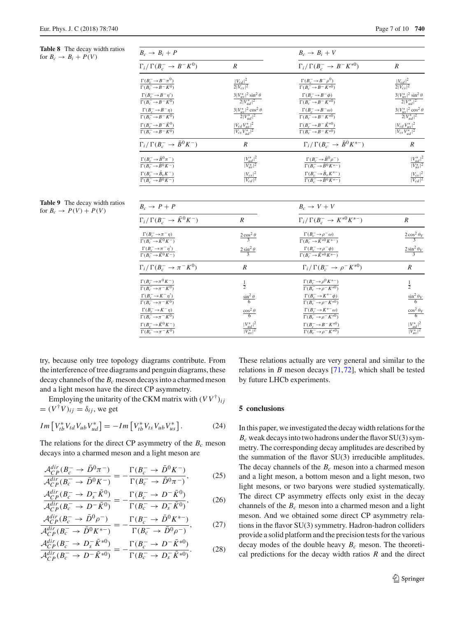<span id="page-6-0"></span>**Table 8** The decay width ratios for  $B_c \rightarrow B_i + P(V)$ 

| $B_c \rightarrow B_i + P$                                                       |                                                     | $B_c \rightarrow B_i + V$                                                                               |                                                     |  |
|---------------------------------------------------------------------------------|-----------------------------------------------------|---------------------------------------------------------------------------------------------------------|-----------------------------------------------------|--|
| $\Gamma_i/\Gamma(B_c^- \to B^-K^0)$                                             | $\boldsymbol{R}$                                    | $\Gamma_i/\Gamma(B_c^- \to B^-K^{*0})$                                                                  | $\overline{R}$                                      |  |
| $\frac{\Gamma(B_c^- \to B^- \pi^0)}{\Gamma(B_c^- \to B^- K^0)}$                 | $\frac{ V_{cd} ^2}{2 V_{cs} ^2}$                    | $\frac{\Gamma(B_c^- \to B^- \rho^0)}{\Gamma(B_c^- \to B^- K^{*0})}$                                     | $\frac{ V_{cd} ^2}{2 V_{cs} ^2}$                    |  |
|                                                                                 |                                                     |                                                                                                         |                                                     |  |
| $\frac{\Gamma(B_c^- \to B^- \eta')}{\Gamma(B_c^- \to B^- K^0)}$                 | $\frac{3 V_{us}^* ^2\sin^2\theta}{2 V_{ud}^* ^2}$   | $\frac{\Gamma(B_c^- \to B^- \phi)}{\Gamma(B_c^- \to B^- K^{*0})}$                                       | $\frac{3 V_{us}^* ^2\sin^2\theta}{2 V_{ud}^* ^2}$   |  |
| $\frac{\Gamma(B_c^- \to B^- \eta)}{\Gamma(B_c^- \to B^- K^0)}$                  | $\frac{3 V_{us}^* ^2\cos^2\theta}{2 V_{ud}^* ^2}$   | $\frac{\Gamma(B^-_c\!\to\! B^-\omega)}{\Gamma(B^-_c\!\to\! B^-K^{\ast 0})}$                             | $\frac{3 V_{us}^* ^2\cos^2\theta}{2 V_{ud}^* ^2}$   |  |
| $\Gamma(B^-_c\!\to\! B^-\bar K^0)$                                              |                                                     |                                                                                                         |                                                     |  |
| $\overline{\Gamma(B_c^- \to B^- K^0)}$                                          | $\frac{  V_{cd}V_{us}^* ^2 }{  V_{cs}V_{ud}^* ^2 }$ | $\frac{\Gamma\left(B_{c}^{-}\to B^{-}\bar{K}^{*0}\right)}{\Gamma\left(B_{c}^{-}\to B^{-}K^{*0}\right)}$ | $\frac{  V_{cd}V_{us}^* ^2 }{  V_{cs}V_{ud}^* ^2 }$ |  |
| $\Gamma_i/\Gamma(B_c^- \to \bar{B}^0 K^-)$                                      | $\boldsymbol{R}$                                    | $\Gamma_i/\Gamma(B_c^- \to \bar{B}^0 K^{*-})$                                                           | $\boldsymbol{R}$                                    |  |
| $\frac{\Gamma(B^-_c\!\to\!\bar{B}^0\pi^-)}{\Gamma(B^-_c\!\to\!\bar{B}^0K^-)}$   | $\frac{ V^*_{ud} ^2}{ V^*_{us} ^2}$                 | $\frac{\Gamma(B_c^- \to \bar{B}^0 \rho^-)}{\Gamma(B_c^- \to \bar{B}^0 K^{*-})}$                         | $\frac{ V^*_{ud} ^2}{ V^*_{us} ^2}$                 |  |
|                                                                                 |                                                     |                                                                                                         |                                                     |  |
| $\frac{\Gamma(B^-_c\!\to\!\bar{B}_s\,K^-)}{\Gamma(B^-_c\!\to\!\bar{B}^0\,K^-)}$ | $\frac{ V_{cs} ^2}{ V_{cd} ^2}$                     | $\frac{\Gamma(B^-_c\!\to\!\bar{B}_sK^{*-})}{\Gamma(B^-_c\!\to\!\bar{B}^0K^{*-})}$                       | $\frac{ V_{cs} ^2}{ V_{cd} ^2}$                     |  |
|                                                                                 |                                                     |                                                                                                         |                                                     |  |
| $B_c \rightarrow P + P$                                                         |                                                     | $B_c \rightarrow V + V$                                                                                 |                                                     |  |
| $\Gamma_i/\Gamma(B_c^- \to \bar{K}^0 K^-)$                                      | $\boldsymbol{R}$                                    | $\Gamma_i/\Gamma(B_c^- \to K^{*0}K^{*-})$                                                               | $\boldsymbol{R}$                                    |  |
| $\frac{\Gamma(B_c^- \to \pi^- \eta)}{\Gamma(B_c^- \to \bar{K}^0 K^-)}$          | $\frac{2\cos^2\theta}{3}$                           | $\frac{\Gamma(B_c^- \to \rho^- \omega)}{\Gamma(B_c^- \to \bar{K}^{*0} K^{*-})}$                         | $\frac{2\cos^2\theta_V}{3}$                         |  |
|                                                                                 |                                                     |                                                                                                         |                                                     |  |
| $\frac{\Gamma(B^-_c\!\to\!\pi^-\eta')}{\Gamma(B^-_c\!\to\!\bar K^0 K^-)}$       | $rac{2 \sin^2 \theta}{3}$                           | $\frac{\Gamma(B^-_c\!\to\!\rho^-\phi)}{\Gamma(B^-_c\!\to\!\bar K^{*0}K^{*-})}$                          | $\frac{2 \sin^2 \theta_V}{3}$                       |  |
| $\Gamma_i/\,\Gamma(B^-_c\to\pi^-K^0)$                                           | $\boldsymbol{R}$                                    | $\Gamma_i/\Gamma(B_c^- \to \rho^- K^{*0})$                                                              | $\boldsymbol{R}$                                    |  |
| $\frac{\Gamma(B_c^- \to \pi^0 K^-)}{\Gamma(B_c^- \to \pi^- K^0)}$               | $\frac{1}{2}$                                       | $\frac{\Gamma(B_c^- \to \rho^0 K^{*-})}{\Gamma(B_c^- \to \rho^- K^{*0})}$                               | $\frac{1}{2}$                                       |  |
|                                                                                 |                                                     |                                                                                                         |                                                     |  |
| $\frac{\Gamma(B_c^- \to K^- \eta')}{\Gamma(B_c^- \to \pi^- K^0)}$               | $\frac{\sin^2\theta}{6}$                            | $\frac{\Gamma(B_c^- \to K^{*-} \phi)}{\Gamma(B_c^- \to \rho^- K^{*0})}$                                 | $\frac{\sin^2 \theta_V}{6}$                         |  |
| $\frac{\Gamma(B_c^- \to K^- \eta)}{\Gamma(B_c^- \to \pi^- K^0)}$                | $\frac{\cos^2\theta}{6}$                            | $\frac{\Gamma(B_c^- \to K^{*-}\omega)}{\Gamma(B_c^- \to \rho^-K^{*0})}$                                 | $\frac{\cos^2\theta_V}{6}$                          |  |
| $\Gamma(B^-_c\!\to\! \bar K^0 K^-)$                                             |                                                     |                                                                                                         |                                                     |  |
| $\Gamma(B_c^- \to \pi^- K^0)$                                                   | $\frac{ V_{ud}^* ^2}{ V_{us}^* ^2}$                 | $\frac{\Gamma(B^-_c\!\to\! B^-K^{\ast 0})}{\Gamma(B^-_c\!\to\!\rho^-K^{\ast 0})}$                       | $\frac{ V^*_{ud} ^2}{ V^*_{us} ^2}$                 |  |

<span id="page-6-1"></span>**Table 9** The decay width ratios for  $B_c \rightarrow P(V) + P(V)$ 

try, because only tree topology diagrams contribute. From the interference of tree diagrams and penguin diagrams, these decay channels of the *Bc* meson decays into a charmed meson and a light meson have the direct CP asymmetry.

Employing the unitarity of the CKM matrix with  $(VV^{\dagger})_{ij}$  $= (V^{\dagger}V)_{ij} = \delta_{ij}$ , we get

$$
Im\left[V_{tb}^*V_{td}V_{ub}V_{ud}^*\right] = -Im\left[V_{tb}^*V_{ts}V_{ub}V_{us}^*\right].\tag{24}
$$

The relations for the direct CP asymmetry of the  $B_c$  meson decays into a charmed meson and a light meson are

$$
\frac{\mathcal{A}_{CP}^{dir}(B_c^{-} \to \bar{D}^0 \pi^{-})}{\mathcal{A}_{CP}^{dir}(B_c^{-} \to \bar{D}^0 K^{-})} = -\frac{\Gamma(B_c^{-} \to \bar{D}^0 K^{-})}{\Gamma(B_c^{-} \to \bar{D}^0 \pi^{-})},
$$
(25)

$$
\frac{\mathcal{A}_{CP}^{dir}(B_c^- \to D_s^- \bar{K}^0)}{\mathcal{A}_{CP}^{dir}(B_c^- \to D^- \bar{K}^0)} = -\frac{\Gamma(B_c^- \to D^- \bar{K}^0)}{\Gamma(B_c^- \to D_s^- \bar{K}^0)},\tag{26}
$$

$$
\frac{\mathcal{A}_{CP}^{dir}(B_{c}^{-} \to \bar{D}^{0}\rho^{-})}{\mathcal{A}_{CP}^{dir}(B_{c}^{-} \to \bar{D}^{0}K^{*-})} = -\frac{\Gamma(B_{c}^{-} \to \bar{D}^{0}K^{*-})}{\Gamma(B_{c}^{-} \to \bar{D}^{0}\rho^{-})},
$$
(27)

$$
\frac{\mathcal{A}_{CP}^{dir}(B_{c}^{-} \to D_{s}^{-}\bar{K}^{*0})}{\mathcal{A}_{CP}^{dir}(B_{c}^{-} \to D^{-}\bar{K}^{*0})} = -\frac{\Gamma(B_{c}^{-} \to D^{-}\bar{K}^{*0})}{\Gamma(B_{c}^{-} \to D_{s}^{-}\bar{K}^{*0})}.
$$
 (28)

These relations actually are very general and similar to the relations in *B* meson decays [\[71](#page-9-1),[72](#page-9-2)], which shall be tested by future LHCb experiments.

#### **5 conclusions**

In this paper, we investigated the decay width relations for the  $B_c$  weak decays into two hadrons under the flavor  $SU(3)$  symmetry. The corresponding decay amplitudes are described by the summation of the flavor SU(3) irreducible amplitudes. The decay channels of the  $B_c$  meson into a charmed meson and a light meson, a bottom meson and a light meson, two light mesons, or two baryons were studied systematically. The direct CP asymmetry effects only exist in the decay channels of the  $B_c$  meson into a charmed meson and a light meson. And we obtained some direct CP asymmetry relations in the flavor SU(3) symmetry. Hadron-hadron colliders provide a solid platform and the precision tests for the various decay modes of the double heavy  $B_c$  meson. The theoretical predictions for the decay width ratios *R* and the direct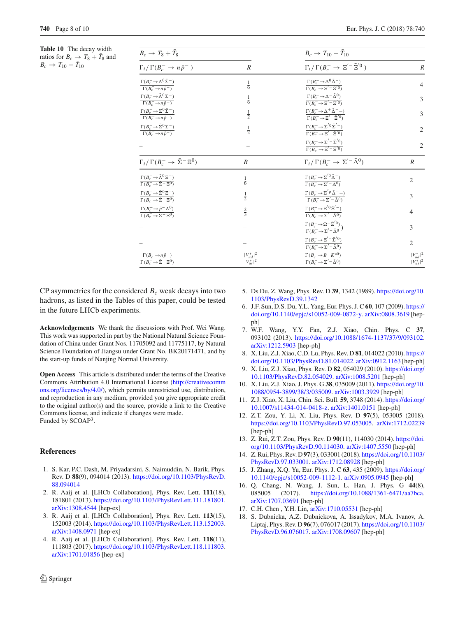<span id="page-7-5"></span>**Table 10** The decay width ratios for  $B_c \rightarrow T_8 + T_8$  and  $B_c \to T_{10} + T_{10}$ 

| $B_c \rightarrow T_8 + T_8$                                                                                       |                                     | $B_c \to T_{10} + T_{10}$                                                                                                                    |                                     |  |
|-------------------------------------------------------------------------------------------------------------------|-------------------------------------|----------------------------------------------------------------------------------------------------------------------------------------------|-------------------------------------|--|
| $\Gamma_i/\Gamma(B_c^- \to n\bar{p}^-)$                                                                           | $\boldsymbol{R}$                    | $\Gamma_i/\Gamma(B_c^- \to \Xi^{\prime -} \bar{\Xi}^{\prime 0})$                                                                             | $\boldsymbol{R}$                    |  |
| $\Gamma(B_c^- \to \Lambda^0 \bar{\Sigma}^-)$<br>$\Gamma(B_c^- \rightarrow n\bar{p}^-)$                            | $\frac{1}{6}$                       | $\frac{\Gamma(B^-_c\!\to\!\Delta^0\bar{\Delta}^-)}{\Gamma(B^-_c\!\to\!\Xi^{'\!-}\bar{\Xi}^{'0})}$                                            | $\overline{4}$                      |  |
| $\Gamma(B^-_c\!\to\!\bar\Lambda^0\Sigma^-)$<br>$\Gamma(B_c^- \to n\bar{p}^-)$                                     | $\frac{1}{6}$                       | $\frac{\Gamma(B^-_c\!\to\!\Delta^-\,\bar{\Delta}^0)}{\Gamma(B^-_c\!\to\!\Xi^{'-}\,\bar{\Xi}^{'0})}$                                          | 3                                   |  |
| $\underline{\Gamma(B^-_c\!\to\!\Sigma^0\bar{\Sigma}^-)}$<br>$\Gamma(\overline{B_c^-}\rightarrow n\overline{p}^-)$ | $\frac{1}{2}$                       | $\frac{\Gamma(B^-_c\!\to\!\Delta^+\bar\Delta^-\!-\!)}{\Gamma(B^-_c\!\to\!\Xi^{'\!-}\bar\Xi^{'0})}$                                           | 3                                   |  |
| $\Gamma(B_c^- \to \bar{\Sigma}^0 \Sigma^-)$<br>$\Gamma(B_c^- \to n\bar{p}^-)$                                     | $\frac{1}{2}$                       | $\frac{\Gamma(B^-_c\!\to\!\Sigma^{'0}\bar\Sigma^{'-})}{\Gamma(B^-_c\!\to\!\Xi^{'-}\bar\Xi^{'0})}$                                            | $\overline{2}$                      |  |
|                                                                                                                   |                                     | $\underline{\Gamma(B^-_c\!\to\!\Sigma^{'-}\bar{\Sigma}^{'0})}$<br>$\overline{\Gamma(B_c^- \rightarrow \Xi^{\prime -} \bar{\Xi}^{\prime 0})}$ | $\overline{2}$                      |  |
| $\Gamma_i/\,\Gamma(B^-_c\to\bar{\Sigma}^-\,\Xi^0)$                                                                | $\boldsymbol{R}$                    | $\Gamma_i/\Gamma(B_c^- \to \Sigma'^{-} \bar{\Delta}^0)$                                                                                      | $\boldsymbol{R}$                    |  |
| $\frac{\Gamma(B^-_c\!\to\!\bar\Lambda^0\,\Xi^-)}{\Gamma(B^-_c\!\to\!\bar\Sigma^-\Xi^0)}$                          | $\frac{1}{6}$                       | $\frac{\Gamma(B^-_c\!\to\!\Sigma^{'0}\bar{\Delta}^-)}{\Gamma(B^-_c\!\to\!\Sigma^{'-}\bar{\Delta}^0)}$                                        | $\overline{2}$                      |  |
| $\frac{\Gamma(B^-_c\!\to\!\bar{\Sigma}^0\Xi^-)}{\Gamma(B^-_c\!\to\!\bar{\Sigma}^-\Xi^0)}$                         | $\frac{1}{2}$                       | $\frac{\Gamma(B^-_c\!\to\!\Sigma^{'p}\bar{\Delta}^-\!-\!)}{\Gamma(B^-_c\!\to\!\Sigma^{'-}\bar{\Delta}^0)}$                                   | 3                                   |  |
| $\frac{\Gamma(B^-_c\!\to\!\bar p^-\Lambda^0)}{\Gamma(B^-_c\!\to\!\bar\Sigma^-\Xi^0)}$                             | $rac{2}{3}$                         | $\frac{\Gamma(B^-_c\!\to\!\Xi^{'0}\bar\Xi^{'-})}{\Gamma(B^-_c\!\to\!\Sigma^{'-}\bar\Delta^0)}$                                               | 4                                   |  |
|                                                                                                                   |                                     | $\frac{\Gamma(B^-_c\!\to\! \Omega^-\bar{\Xi}^{'0})}{\Gamma(B^-_c\!\to\! \Sigma^{'-}\bar{\Delta}^0})$                                         | 3                                   |  |
|                                                                                                                   |                                     | $\Gamma(B_c^- \to \Xi^{'-} {\bar \Sigma}^{'0})$<br>$\overline{\Gamma(B_c^- \to \Sigma'^- \bar{\Delta}^0)}$                                   | $\overline{2}$                      |  |
| $\frac{\Gamma(B_c^- \to n\bar{p}^-)}{\Gamma(B_c^- \to \bar{\Sigma}^- \Xi^0)}$                                     | $\frac{ V^*_{ud} ^2}{ V^*_{us} ^2}$ | $\frac{\Gamma(B^-_c\!\to\! B^-K^{\ast 0})}{\Gamma(B^-_c\!\to\!\Sigma^{\prime-}\bar\Delta^0)}$                                                | $\frac{ V^*_{ud} ^2}{ V^*_{us} ^2}$ |  |

CP asymmetries for the considered  $B_c$  weak decays into two hadrons, as listed in the Tables of this paper, could be tested in the future LHCb experiments.

**Acknowledgements** We thank the discussions with Prof. Wei Wang. This work was supported in part by the National Natural Science Foundation of China under Grant Nos. 11705092 and 11775117, by Natural Science Foundation of Jiangsu under Grant No. BK20171471, and by the start-up funds of Nanjing Normal University.

**Open Access** This article is distributed under the terms of the Creative Commons Attribution 4.0 International License [\(http://creativecomm](http://creativecommons.org/licenses/by/4.0/) [ons.org/licenses/by/4.0/\)](http://creativecommons.org/licenses/by/4.0/), which permits unrestricted use, distribution, and reproduction in any medium, provided you give appropriate credit to the original author(s) and the source, provide a link to the Creative Commons license, and indicate if changes were made. Funded by SCOAP<sup>3</sup>.

## **References**

- <span id="page-7-0"></span>1. S. Kar, P.C. Dash, M. Priyadarsini, S. Naimuddin, N. Barik, Phys. Rev. D **88**(9), 094014 (2013). [https://doi.org/10.1103/PhysRevD.](https://doi.org/10.1103/PhysRevD.88.094014) [88.094014](https://doi.org/10.1103/PhysRevD.88.094014)
- <span id="page-7-1"></span>2. R. Aaij et al. [LHCb Collaboration], Phys. Rev. Lett. **111**(18), 181801 (2013). [https://doi.org/10.1103/PhysRevLett.111.181801.](https://doi.org/10.1103/PhysRevLett.111.181801) [arXiv:1308.4544](http://arxiv.org/abs/1308.4544) [hep-ex]
- <span id="page-7-3"></span>3. R. Aaij et al. [LHCb Collaboration], Phys. Rev. Lett. **113**(15), 152003 (2014). [https://doi.org/10.1103/PhysRevLett.113.152003.](https://doi.org/10.1103/PhysRevLett.113.152003) [arXiv:1408.0971](http://arxiv.org/abs/1408.0971) [hep-ex]
- <span id="page-7-2"></span>4. R. Aaij et al. [LHCb Collaboration], Phys. Rev. Lett. **118**(11), 111803 (2017). [https://doi.org/10.1103/PhysRevLett.118.111803.](https://doi.org/10.1103/PhysRevLett.118.111803) [arXiv:1701.01856](http://arxiv.org/abs/1701.01856) [hep-ex]
- <span id="page-7-4"></span>5. Ds Du, Z. Wang, Phys. Rev. D **39**, 1342 (1989). [https://doi.org/10.](https://doi.org/10.1103/PhysRevD.39.1342) [1103/PhysRevD.39.1342](https://doi.org/10.1103/PhysRevD.39.1342)
- 6. J.F. Sun, D.S. Du, Y.L. Yang, Eur. Phys. J. C **60**, 107 (2009). [https://](https://doi.org/10.1140/epjc/s10052-009-0872-y) [doi.org/10.1140/epjc/s10052-009-0872-y.](https://doi.org/10.1140/epjc/s10052-009-0872-y) [arXiv:0808.3619](http://arxiv.org/abs/0808.3619) [hepph]
- 7. W.F. Wang, Y.Y. Fan, Z.J. Xiao, Chin. Phys. C **37**, 093102 (2013). [https://doi.org/10.1088/1674-1137/37/9/093102.](https://doi.org/10.1088/1674-1137/37/9/093102) [arXiv:1212.5903](http://arxiv.org/abs/1212.5903) [hep-ph]
- 8. X. Liu, Z.J. Xiao, C.D. Lu, Phys. Rev. D **81**, 014022 (2010). [https://](https://doi.org/10.1103/PhysRevD.81.014022) [doi.org/10.1103/PhysRevD.81.014022.](https://doi.org/10.1103/PhysRevD.81.014022) [arXiv:0912.1163](http://arxiv.org/abs/0912.1163) [hep-ph]
- 9. X. Liu, Z.J. Xiao, Phys. Rev. D **82**, 054029 (2010). [https://doi.org/](https://doi.org/10.1103/PhysRevD.82.054029) [10.1103/PhysRevD.82.054029.](https://doi.org/10.1103/PhysRevD.82.054029) [arXiv:1008.5201](http://arxiv.org/abs/1008.5201) [hep-ph]
- 10. X. Liu, Z.J. Xiao, J. Phys. G **38**, 035009 (2011). [https://doi.org/10.](https://doi.org/10.1088/0954-3899/38/3/035009) [1088/0954-3899/38/3/035009.](https://doi.org/10.1088/0954-3899/38/3/035009) [arXiv:1003.3929](http://arxiv.org/abs/1003.3929) [hep-ph]
- 11. Z.J. Xiao, X. Liu, Chin. Sci. Bull. **59**, 3748 (2014). [https://doi.org/](https://doi.org/10.1007/s11434-014-0418-z) [10.1007/s11434-014-0418-z.](https://doi.org/10.1007/s11434-014-0418-z) [arXiv:1401.0151](http://arxiv.org/abs/1401.0151) [hep-ph]
- 12. Z.T. Zou, Y. Li, X. Liu, Phys. Rev. D **97**(5), 053005 (2018). [https://doi.org/10.1103/PhysRevD.97.053005.](https://doi.org/10.1103/PhysRevD.97.053005) [arXiv:1712.02239](http://arxiv.org/abs/1712.02239) [hep-ph]
- 13. Z. Rui, Z.T. Zou, Phys. Rev. D **90**(11), 114030 (2014). [https://doi.](https://doi.org/10.1103/PhysRevD.90.114030) [org/10.1103/PhysRevD.90.114030.](https://doi.org/10.1103/PhysRevD.90.114030) [arXiv:1407.5550](http://arxiv.org/abs/1407.5550) [hep-ph]
- 14. Z. Rui, Phys. Rev. D **97**(3), 033001 (2018). [https://doi.org/10.1103/](https://doi.org/10.1103/PhysRevD.97.033001) [PhysRevD.97.033001.](https://doi.org/10.1103/PhysRevD.97.033001) [arXiv:1712.08928](http://arxiv.org/abs/1712.08928) [hep-ph]
- 15. J. Zhang, X.Q. Yu, Eur. Phys. J. C **63**, 435 (2009). [https://doi.org/](https://doi.org/10.1140/epjc/s10052-009-1112-1) [10.1140/epjc/s10052-009-1112-1.](https://doi.org/10.1140/epjc/s10052-009-1112-1) [arXiv:0905.0945](http://arxiv.org/abs/0905.0945) [hep-ph]
- 16. Q. Chang, N. Wang, J. Sun, L. Han, J. Phys. G **44**(8), 085005 (2017). [https://doi.org/10.1088/1361-6471/aa7bca.](https://doi.org/10.1088/1361-6471/aa7bca) [arXiv:1707.03691](http://arxiv.org/abs/1707.03691) [hep-ph]
- 17. C.H. Chen , Y.H. Lin, [arXiv:1710.05531](http://arxiv.org/abs/1710.05531) [hep-ph]
- 18. S. Dubnicka, A.Z. Dubnickova, A. Issadykov, M.A. Ivanov, A. Liptaj, Phys. Rev. D **96**(7), 076017 (2017). [https://doi.org/10.1103/](https://doi.org/10.1103/PhysRevD.96.076017) [PhysRevD.96.076017.](https://doi.org/10.1103/PhysRevD.96.076017) [arXiv:1708.09607](http://arxiv.org/abs/1708.09607) [hep-ph]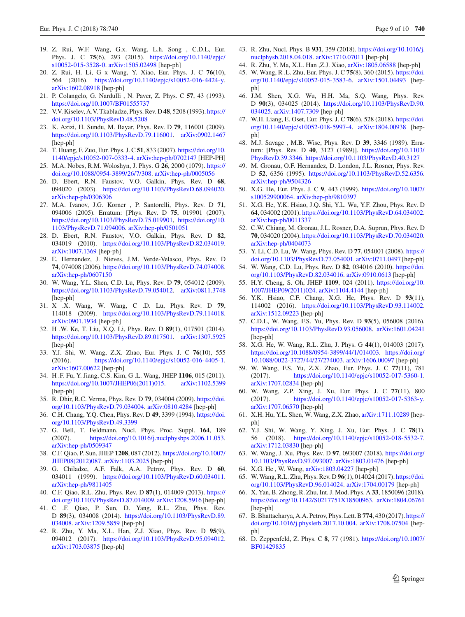- <span id="page-8-0"></span>[s10052-015-3528-0.](https://doi.org/10.1140/epjc/s10052-015-3528-0) [arXiv:1505.02498](http://arxiv.org/abs/1505.02498) [hep-ph] 20. Z. Rui, H. Li, G x Wang, Y. Xiao, Eur. Phys. J. C **76**(10), 564 (2016). [https://doi.org/10.1140/epjc/s10052-016-4424-y.](https://doi.org/10.1140/epjc/s10052-016-4424-y) [arXiv:1602.08918](http://arxiv.org/abs/1602.08918) [hep-ph]
- <span id="page-8-1"></span>21. P. Colangelo, G. Nardulli , N. Paver, Z. Phys. C **57**, 43 (1993). <https://doi.org/10.1007/BF01555737>
- 22. V.V. Kiselev, A.V. Tkabladze, Phys. Rev. D **48**, 5208 (1993). [https://](https://doi.org/10.1103/PhysRevD.48.5208) [doi.org/10.1103/PhysRevD.48.5208](https://doi.org/10.1103/PhysRevD.48.5208)
- <span id="page-8-2"></span>23. K. Azizi, H. Sundu, M. Bayar, Phys. Rev. D **79**, 116001 (2009). [https://doi.org/10.1103/PhysRevD.79.116001.](https://doi.org/10.1103/PhysRevD.79.116001) [arXiv:0902.1467](http://arxiv.org/abs/0902.1467) [hep-ph]
- <span id="page-8-3"></span>24. T. Huang, F. Zuo, Eur. Phys. J. C **51**, 833 (2007). [https://doi.org/10.](https://doi.org/10.1140/epjc/s10052-007-0333-4) [1140/epjc/s10052-007-0333-4.](https://doi.org/10.1140/epjc/s10052-007-0333-4) [arXiv:hep-ph/0702147](http://arxiv.org/abs/hep-ph/0702147) [HEP-PH]
- <span id="page-8-4"></span>25. M.A. Nobes, R.M. Woloshyn, J. Phys. G **26**, 2000 (1079). [https://](https://doi.org/10.1088/0954-3899/26/7/308) [doi.org/10.1088/0954-3899/26/7/308.](https://doi.org/10.1088/0954-3899/26/7/308) [arXiv:hep-ph/0005056](http://arxiv.org/abs/hep-ph/0005056)
- 26. D. Ebert, R.N. Faustov, V.O. Galkin, Phys. Rev. D **68**, 094020 (2003). [https://doi.org/10.1103/PhysRevD.68.094020.](https://doi.org/10.1103/PhysRevD.68.094020) [arXiv:hep-ph/0306306](http://arxiv.org/abs/hep-ph/0306306)
- 27. M.A. Ivanov, J.G. Korner , P. Santorelli, Phys. Rev. D **71**, 094006 (2005). Erratum: [Phys. Rev. D **75**, 019901 (2007). [https://doi.org/10.1103/PhysRevD.75.019901,](https://doi.org/10.1103/PhysRevD.75.019901) [https://doi.org/10.](https://doi.org/10.1103/PhysRevD.71.094006) [1103/PhysRevD.71.094006.](https://doi.org/10.1103/PhysRevD.71.094006) [arXiv:hep-ph/0501051](http://arxiv.org/abs/hep-ph/0501051)
- <span id="page-8-5"></span>28. D. Ebert, R.N. Faustov, V.O. Galkin, Phys. Rev. D **82**, 034019 (2010). [https://doi.org/10.1103/PhysRevD.82.034019.](https://doi.org/10.1103/PhysRevD.82.034019) [arXiv:1007.1369](http://arxiv.org/abs/1007.1369) [hep-ph]
- <span id="page-8-6"></span>29. E. Hernandez, J. Nieves, J.M. Verde-Velasco, Phys. Rev. D **74**, 074008 (2006). [https://doi.org/10.1103/PhysRevD.74.074008.](https://doi.org/10.1103/PhysRevD.74.074008) [arXiv:hep-ph/0607150](http://arxiv.org/abs/hep-ph/0607150)
- <span id="page-8-7"></span>30. W. Wang, Y.L. Shen, C.D. Lu, Phys. Rev. D **79**, 054012 (2009). [https://doi.org/10.1103/PhysRevD.79.054012.](https://doi.org/10.1103/PhysRevD.79.054012) [arXiv:0811.3748](http://arxiv.org/abs/0811.3748) [hep-ph]
- 31. X .X. Wang, W. Wang, C .D. Lu, Phys. Rev. D **79**, 114018 (2009). [https://doi.org/10.1103/PhysRevD.79.114018.](https://doi.org/10.1103/PhysRevD.79.114018) [arXiv:0901.1934](http://arxiv.org/abs/0901.1934) [hep-ph]
- 32. H .W. Ke, T. Liu, X.Q. Li, Phys. Rev. D **89**(1), 017501 (2014). [https://doi.org/10.1103/PhysRevD.89.017501.](https://doi.org/10.1103/PhysRevD.89.017501) [arXiv:1307.5925](http://arxiv.org/abs/1307.5925) [hep-ph]
- <span id="page-8-8"></span>33. Y.J. Shi, W. Wang, Z.X. Zhao, Eur. Phys. J. C **76**(10), 555 (2016). [https://doi.org/10.1140/epjc/s10052-016-4405-1.](https://doi.org/10.1140/epjc/s10052-016-4405-1) [arXiv:1607.00622](http://arxiv.org/abs/1607.00622) [hep-ph]
- <span id="page-8-9"></span>34. H .F. Fu, Y. Jiang, C.S. Kim, G .L. Wang, JHEP **1106**, 015 (2011). [https://doi.org/10.1007/JHEP06\(2011\)015.](https://doi.org/10.1007/JHEP06(2011)015) [arXiv:1102.5399](http://arxiv.org/abs/1102.5399) [hep-ph]
- <span id="page-8-10"></span>35. R. Dhir, R.C. Verma, Phys. Rev. D **79**, 034004 (2009). [https://doi.](https://doi.org/10.1103/PhysRevD.79.034004) [org/10.1103/PhysRevD.79.034004.](https://doi.org/10.1103/PhysRevD.79.034004) [arXiv:0810.4284](http://arxiv.org/abs/0810.4284) [hep-ph]
- <span id="page-8-11"></span>36. C.H. Chang, Y.Q. Chen, Phys. Rev. D **49**, 3399 (1994). [https://doi.](https://doi.org/10.1103/PhysRevD.49.3399) [org/10.1103/PhysRevD.49.3399](https://doi.org/10.1103/PhysRevD.49.3399)
- 37. G. Bell, T. Feldmann, Nucl. Phys. Proc. Suppl. **164**, 189 (2007). [https://doi.org/10.1016/j.nuclphysbps.2006.11.053.](https://doi.org/10.1016/j.nuclphysbps.2006.11.053) [arXiv:hep-ph/0509347](http://arxiv.org/abs/hep-ph/0509347)
- 38. C.F. Qiao, P. Sun, JHEP **1208**, 087 (2012). [https://doi.org/10.1007/](https://doi.org/10.1007/JHEP08(2012)087) [JHEP08\(2012\)087.](https://doi.org/10.1007/JHEP08(2012)087) [arXiv:1103.2025](http://arxiv.org/abs/1103.2025) [hep-ph]
- 39. G. Chiladze, A.F. Falk, A.A. Petrov, Phys. Rev. D **60**, 034011 (1999). [https://doi.org/10.1103/PhysRevD.60.034011.](https://doi.org/10.1103/PhysRevD.60.034011) [arXiv:hep-ph/9811405](http://arxiv.org/abs/hep-ph/9811405)
- 40. C.F. Qiao, R.L. Zhu, Phys. Rev. D **87**(1), 014009 (2013). [https://](https://doi.org/10.1103/PhysRevD.87.014009) [doi.org/10.1103/PhysRevD.87.014009.](https://doi.org/10.1103/PhysRevD.87.014009) [arXiv:1208.5916](http://arxiv.org/abs/1208.5916) [hep-ph]
- 41. C .F. Qiao, P. Sun, D. Yang, R.L. Zhu, Phys. Rev. D **89**(3), 034008 (2014). [https://doi.org/10.1103/PhysRevD.89.](https://doi.org/10.1103/PhysRevD.89.034008) [034008.](https://doi.org/10.1103/PhysRevD.89.034008) [arXiv:1209.5859](http://arxiv.org/abs/1209.5859) [hep-ph]
- 42. R. Zhu, Y. Ma, X.L. Han, Z.J. Xiao, Phys. Rev. D **95**(9), 094012 (2017). [https://doi.org/10.1103/PhysRevD.95.094012.](https://doi.org/10.1103/PhysRevD.95.094012) [arXiv:1703.03875](http://arxiv.org/abs/1703.03875) [hep-ph]
- <span id="page-8-15"></span>43. R. Zhu, Nucl. Phys. B **931**, 359 (2018). [https://doi.org/10.1016/j.](https://doi.org/10.1016/j.nuclphysb.2018.04.018) [nuclphysb.2018.04.018.](https://doi.org/10.1016/j.nuclphysb.2018.04.018) [arXiv:1710.07011](http://arxiv.org/abs/1710.07011) [hep-ph]
- 44. R. Zhu, Y. Ma, X.L. Han ,Z.J. Xiao, [arXiv:1805.06588](http://arxiv.org/abs/1805.06588) [hep-ph]
- <span id="page-8-12"></span>45. W. Wang, R .L. Zhu, Eur. Phys. J. C **75**(8), 360 (2015). [https://doi.](https://doi.org/10.1140/epjc/s10052-015-3583-6) [org/10.1140/epjc/s10052-015-3583-6.](https://doi.org/10.1140/epjc/s10052-015-3583-6) [arXiv:1501.04493](http://arxiv.org/abs/1501.04493) [hepph]
- <span id="page-8-13"></span>46. J.M. Shen, X.G. Wu, H.H. Ma, S.Q. Wang, Phys. Rev. D **90**(3), 034025 (2014). [https://doi.org/10.1103/PhysRevD.90.](https://doi.org/10.1103/PhysRevD.90.034025) [034025.](https://doi.org/10.1103/PhysRevD.90.034025) [arXiv:1407.7309](http://arxiv.org/abs/1407.7309) [hep-ph]
- <span id="page-8-14"></span>47. W.H. Liang, E. Oset, Eur. Phys. J. C **78**(6), 528 (2018). [https://doi.](https://doi.org/10.1140/epjc/s10052-018-5997-4) [org/10.1140/epjc/s10052-018-5997-4.](https://doi.org/10.1140/epjc/s10052-018-5997-4) [arXiv:1804.00938](http://arxiv.org/abs/1804.00938) [hepph]
- <span id="page-8-16"></span>48. M.J. Savage , M.B. Wise, Phys. Rev. D **39**, 3346 (1989). Erratum: [Phys. Rev. D **40**, 3127 (1989)]. [https://doi.org/10.1103/](https://doi.org/10.1103/PhysRevD.39.3346) [PhysRevD.39.3346.](https://doi.org/10.1103/PhysRevD.39.3346) <https://doi.org/10.1103/PhysRevD.40.3127>
- 49. M. Gronau, O.F. Hernandez, D. London, J.L. Rosner, Phys. Rev. D **52**, 6356 (1995). [https://doi.org/10.1103/PhysRevD.52.6356.](https://doi.org/10.1103/PhysRevD.52.6356) [arXiv:hep-ph/9504326](http://arxiv.org/abs/hep-ph/9504326)
- 50. X.G. He, Eur. Phys. J. C **9**, 443 (1999). [https://doi.org/10.1007/](https://doi.org/10.1007/s100529900064) [s100529900064.](https://doi.org/10.1007/s100529900064) [arXiv:hep-ph/9810397](http://arxiv.org/abs/hep-ph/9810397)
- <span id="page-8-20"></span>51. X.G. He, Y.K. Hsiao, J.Q. Shi, Y.L. Wu, Y.F. Zhou, Phys. Rev. D **64**, 034002 (2001). [https://doi.org/10.1103/PhysRevD.64.034002.](https://doi.org/10.1103/PhysRevD.64.034002) [arXiv:hep-ph/0011337](http://arxiv.org/abs/hep-ph/0011337)
- 52. C.W. Chiang, M. Gronau, J.L. Rosner, D.A. Suprun, Phys. Rev. D **70**, 034020 (2004). [https://doi.org/10.1103/PhysRevD.70.034020.](https://doi.org/10.1103/PhysRevD.70.034020) [arXiv:hep-ph/0404073](http://arxiv.org/abs/hep-ph/0404073)
- 53. Y. Li, C.D. Lu, W. Wang, Phys. Rev. D **77**, 054001 (2008). [https://](https://doi.org/10.1103/PhysRevD.77.054001) [doi.org/10.1103/PhysRevD.77.054001.](https://doi.org/10.1103/PhysRevD.77.054001) [arXiv:0711.0497](http://arxiv.org/abs/0711.0497) [hep-ph]
- 54. W. Wang, C.D. Lu, Phys. Rev. D **82**, 034016 (2010). [https://doi.](https://doi.org/10.1103/PhysRevD.82.034016) [org/10.1103/PhysRevD.82.034016.](https://doi.org/10.1103/PhysRevD.82.034016) [arXiv:0910.0613](http://arxiv.org/abs/0910.0613) [hep-ph]
- 55. H.Y. Cheng, S. Oh, JHEP **1109**, 024 (2011). [https://doi.org/10.](https://doi.org/10.1007/JHEP09(2011)024) [1007/JHEP09\(2011\)024.](https://doi.org/10.1007/JHEP09(2011)024) [arXiv:1104.4144](http://arxiv.org/abs/1104.4144) [hep-ph]
- <span id="page-8-21"></span>56. Y.K. Hsiao, C.F. Chang, X.G. He, Phys. Rev. D **93**(11), 114002 (2016). [https://doi.org/10.1103/PhysRevD.93.114002.](https://doi.org/10.1103/PhysRevD.93.114002) [arXiv:1512.09223](http://arxiv.org/abs/1512.09223) [hep-ph]
- 57. C.D.L, W. Wang, F.S. Yu, Phys. Rev. D **93**(5), 056008 (2016). [https://doi.org/10.1103/PhysRevD.93.056008.](https://doi.org/10.1103/PhysRevD.93.056008) [arXiv:1601.04241](http://arxiv.org/abs/1601.04241) [hep-ph]
- <span id="page-8-18"></span>58. X.G. He, W. Wang, R.L. Zhu, J. Phys. G **44**(1), 014003 (2017). [https://doi.org/10.1088/0954-3899/44/1/014003.](https://doi.org/10.1088/0954-3899/44/1/014003) [https://doi.org/](https://doi.org/10.1088/0022-3727/44/27/274003) [10.1088/0022-3727/44/27/274003.](https://doi.org/10.1088/0022-3727/44/27/274003) [arXiv:1606.00097](http://arxiv.org/abs/1606.00097) [hep-ph]
- 59. W. Wang, F.S. Yu, Z.X. Zhao, Eur. Phys. J. C **77**(11), 781 (2017). [https://doi.org/10.1140/epjc/s10052-017-5360-1.](https://doi.org/10.1140/epjc/s10052-017-5360-1) [arXiv:1707.02834](http://arxiv.org/abs/1707.02834) [hep-ph]
- 60. W. Wang, Z.P. Xing, J. Xu, Eur. Phys. J. C **77**(11), 800 (2017). [https://doi.org/10.1140/epjc/s10052-017-5363-y.](https://doi.org/10.1140/epjc/s10052-017-5363-y) [arXiv:1707.06570](http://arxiv.org/abs/1707.06570) [hep-ph]
- 61. X.H. Hu, Y.L. Shen, W. Wang, Z.X. Zhao, [arXiv:1711.10289](http://arxiv.org/abs/1711.10289) [hepph]
- 62. Y.J. Shi, W. Wang, Y. Xing, J. Xu, Eur. Phys. J. C **78**(1), 56 (2018). [https://doi.org/10.1140/epjc/s10052-018-5532-7.](https://doi.org/10.1140/epjc/s10052-018-5532-7) [arXiv:1712.03830](http://arxiv.org/abs/1712.03830) [hep-ph]
- 63. W. Wang, J. Xu, Phys. Rev. D **97**, 093007 (2018). [https://doi.org/](https://doi.org/10.1103/PhysRevD.97.093007) [10.1103/PhysRevD.97.093007.](https://doi.org/10.1103/PhysRevD.97.093007) [arXiv:1803.01476](http://arxiv.org/abs/1803.01476) [hep-ph]
- <span id="page-8-22"></span>64. X.G. He , W. Wang, [arXiv:1803.04227](http://arxiv.org/abs/1803.04227) [hep-ph]
- 65. W. Wang, R.L. Zhu, Phys. Rev. D **96**(1), 014024 (2017). [https://doi.](https://doi.org/10.1103/PhysRevD.96.014024) [org/10.1103/PhysRevD.96.014024.](https://doi.org/10.1103/PhysRevD.96.014024) [arXiv:1704.00179](http://arxiv.org/abs/1704.00179) [hep-ph]
- 66. X. Yan, B. Zhong, R. Zhu, Int. J. Mod. Phys. A **33**, 1850096 (2018). [https://doi.org/10.1142/S0217751X18500963.](https://doi.org/10.1142/S0217751X18500963) [arXiv:1804.06761](http://arxiv.org/abs/1804.06761) [hep-ph]
- <span id="page-8-17"></span>67. B. Bhattacharya, A.A. Petrov, Phys. Lett. B**774**, 430 (2017). [https://](https://doi.org/10.1016/j.physletb.2017.10.004) [doi.org/10.1016/j.physletb.2017.10.004.](https://doi.org/10.1016/j.physletb.2017.10.004) [arXiv:1708.07504](http://arxiv.org/abs/1708.07504) [hepph]
- <span id="page-8-19"></span>68. D. Zeppenfeld, Z. Phys. C **8**, 77 (1981). [https://doi.org/10.1007/](https://doi.org/10.1007/BF01429835) [BF01429835](https://doi.org/10.1007/BF01429835)